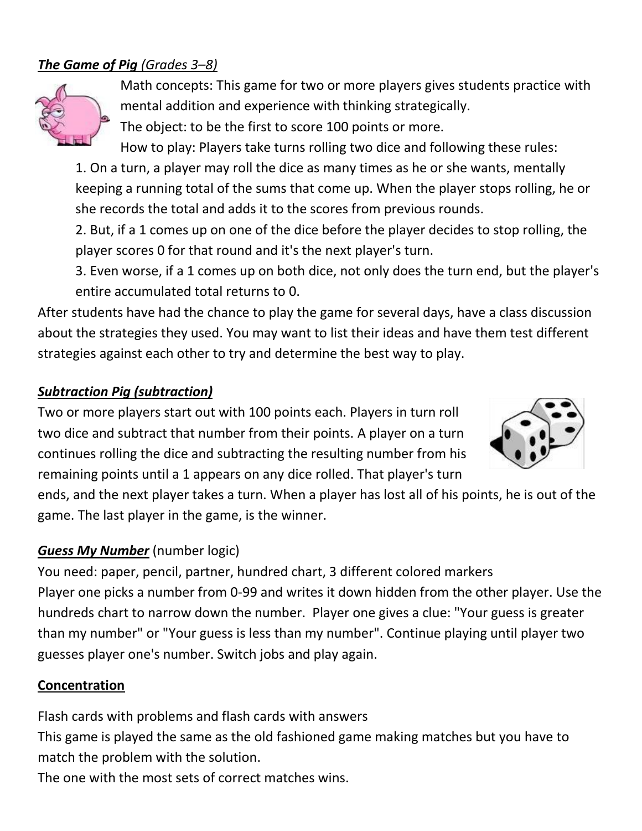## *The Game of Pig (Grades 3–8)*



Math concepts: This game for two or more players gives students practice with mental addition and experience with thinking strategically.

The object: to be the first to score 100 points or more.

How to play: Players take turns rolling two dice and following these rules:

1. On a turn, a player may roll the dice as many times as he or she wants, mentally keeping a running total of the sums that come up. When the player stops rolling, he or she records the total and adds it to the scores from previous rounds.

2. But, if a 1 comes up on one of the dice before the player decides to stop rolling, the player scores 0 for that round and it's the next player's turn.

3. Even worse, if a 1 comes up on both dice, not only does the turn end, but the player's entire accumulated total returns to 0.

After students have had the chance to play the game for several days, have a class discussion about the strategies they used. You may want to list their ideas and have them test different strategies against each other to try and determine the best way to play.

## *Subtraction Pig (subtraction)*

Two or more players start out with 100 points each. Players in turn roll two dice and subtract that number from their points. A player on a turn continues rolling the dice and subtracting the resulting number from his remaining points until a 1 appears on any dice rolled. That player's turn



ends, and the next player takes a turn. When a player has lost all of his points, he is out of the game. The last player in the game, is the winner.

## *Guess My Number* (number logic)

You need: paper, pencil, partner, hundred chart, 3 different colored markers Player one picks a number from 0-99 and writes it down hidden from the other player. Use the hundreds chart to narrow down the number. Player one gives a clue: "Your guess is greater than my number" or "Your guess is less than my number". Continue playing until player two guesses player one's number. Switch jobs and play again.

## **Concentration**

Flash cards with problems and flash cards with answers

This game is played the same as the old fashioned game making matches but you have to match the problem with the solution.

The one with the most sets of correct matches wins.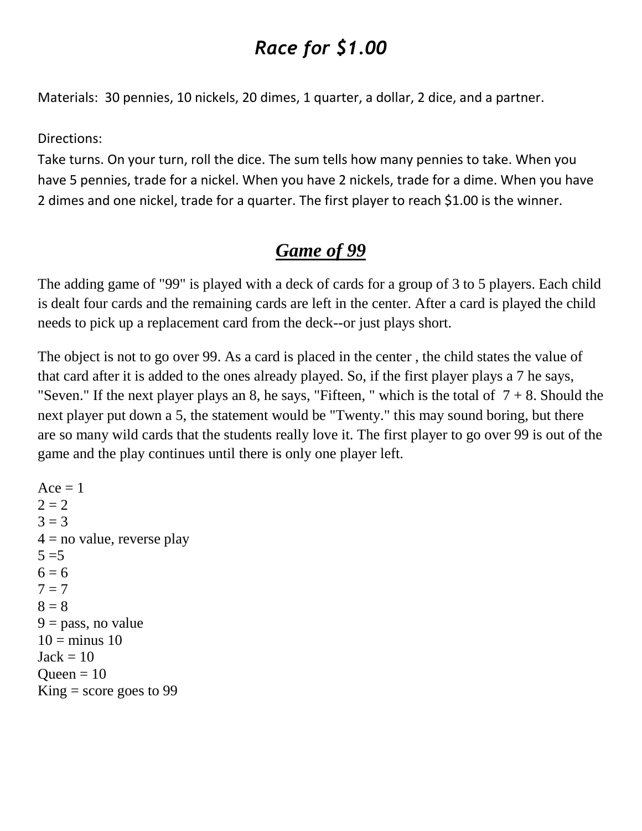# *Race for \$1.00*

Materials: 30 pennies, 10 nickels, 20 dimes, 1 quarter, a dollar, 2 dice, and a partner.

Directions:

Take turns. On your turn, roll the dice. The sum tells how many pennies to take. When you have 5 pennies, trade for a nickel. When you have 2 nickels, trade for a dime. When you have 2 dimes and one nickel, trade for a quarter. The first player to reach \$1.00 is the winner.

# *Game of 99*

The adding game of "99" is played with a deck of cards for a group of 3 to 5 players. Each child is dealt four cards and the remaining cards are left in the center. After a card is played the child needs to pick up a replacement card from the deck--or just plays short.

The object is not to go over 99. As a card is placed in the center , the child states the value of that card after it is added to the ones already played. So, if the first player plays a 7 he says, "Seven." If the next player plays an 8, he says, "Fifteen, " which is the total of  $7 + 8$ . Should the next player put down a 5, the statement would be "Twenty." this may sound boring, but there are so many wild cards that the students really love it. The first player to go over 99 is out of the game and the play continues until there is only one player left.

```
Ace = 12 = 23 = 34 = no value, reverse play
5 = 56 = 67 = 78 = 89 = \text{pass}, no value
10 = \text{minus } 10Jack = 10Queen = 10King = score goes to 99
```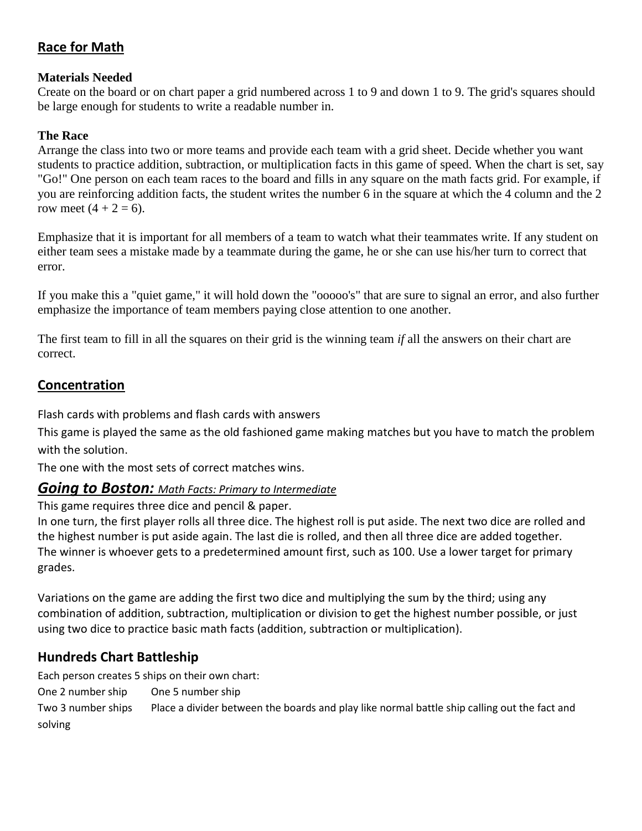## **Race for Math**

#### **Materials Needed**

Create on the board or on chart paper a grid numbered across 1 to 9 and down 1 to 9. The grid's squares should be large enough for students to write a readable number in.

#### **The Race**

Arrange the class into two or more teams and provide each team with a grid sheet. Decide whether you want students to practice addition, subtraction, or multiplication facts in this game of speed. When the chart is set, say "Go!" One person on each team races to the board and fills in any square on the math facts grid. For example, if you are reinforcing addition facts, the student writes the number 6 in the square at which the 4 column and the 2 row meet  $(4 + 2 = 6)$ .

Emphasize that it is important for all members of a team to watch what their teammates write. If any student on either team sees a mistake made by a teammate during the game, he or she can use his/her turn to correct that error.

If you make this a "quiet game," it will hold down the "ooooo's" that are sure to signal an error, and also further emphasize the importance of team members paying close attention to one another.

The first team to fill in all the squares on their grid is the winning team *if* all the answers on their chart are correct.

### **Concentration**

Flash cards with problems and flash cards with answers

This game is played the same as the old fashioned game making matches but you have to match the problem with the solution.

The one with the most sets of correct matches wins.

#### *Going to Boston: Math Facts: Primary to Intermediate*

This game requires three dice and pencil & paper.

In one turn, the first player rolls all three dice. The highest roll is put aside. The next two dice are rolled and the highest number is put aside again. The last die is rolled, and then all three dice are added together. The winner is whoever gets to a predetermined amount first, such as 100. Use a lower target for primary grades.

Variations on the game are adding the first two dice and multiplying the sum by the third; using any combination of addition, subtraction, multiplication or division to get the highest number possible, or just using two dice to practice basic math facts (addition, subtraction or multiplication).

### **Hundreds Chart Battleship**

Each person creates 5 ships on their own chart:

One 2 number ship One 5 number ship

Two 3 number ships Place a divider between the boards and play like normal battle ship calling out the fact and solving